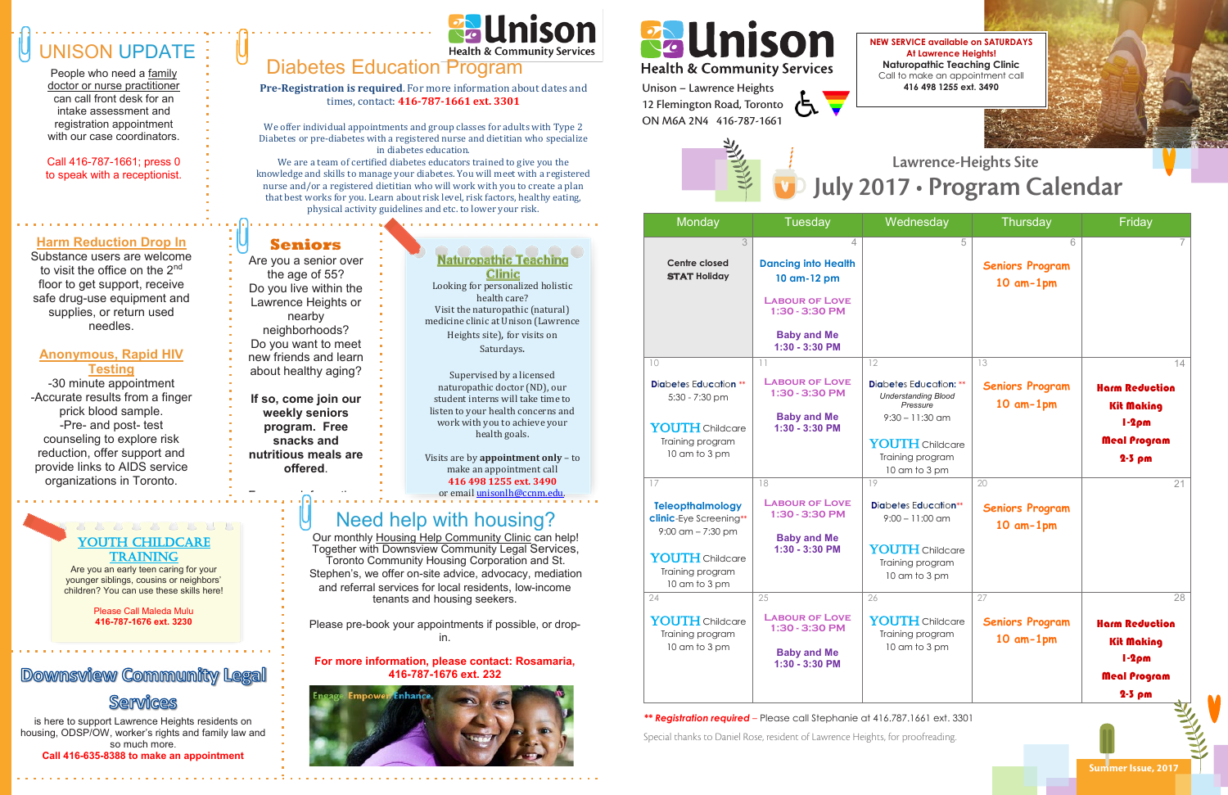Special thanks to Daniel Rose, resident of Lawrence Heights, for proofreading.

Supervised by a licensed **naturopathic doctor (ND), our** student interns will take time to  $\blacksquare$ listen to your health concerns and work with you to achieve your health goals. You have a state of the

Visits are by **appointment only** – to make an appointment call **416 498 1255 ext. 3490** or email unisonlh@ccnm.edu. Youth Children and Children

**218. • Cur monthly Housing Help Community Clinic can help!** Together with Downsview Community Legal Services, Toronto Community Housing Corporation and St. Stephen's, we offer on-site advice, advocacy, mediation and referral services for local residents, low-income tenants and housing seekers.

## UNISON UPDATE

#### about our harm reduction YOUTH CHILDCARE **WAYNE DESCRIPTION**

People who need a family doctor or nurse practitioner can call front desk for an intake assessment and registration appointment with our case coordinators.

> **Are you an early teen caring for your** younger siblings, cousins or neighbors' children? You can use these skills here!

Call 416-787-1661; press 0 to speak with a receptionist.

> Looking for personalized holistic health care? Visit the naturopathic (natural) which is initial optimity (material)<br>medicine clinic at Unison (Lawrence Heights site), for visits on Saturdays.

**Pre-Registration is required**. For more information about dates and times, contact: **416-787-1661 ext. 3301** es and<br>L<br>1

> Please pre-book your appointments if possible, or dropin.

#### **For more information, please contact: Rosamaria, 416-787-1676 ext. 232**



# Pallnison

#### **Harm Reduction Drop In**

Substance users are welcome to visit the office on the 2<sup>nd</sup> floor to get support, receive safe drug-use equipment and supplies, or return used needles.

#### **Anonymous, Rapid HIV Testing**

-30 minute appointment -Accurate results from a finger prick blood sample. -Pre- and post- test counseling to explore risk reduction, offer support and provide links to AIDS service organizations in Toronto.

## Health & Community Services

*\*\* Registration required –* Please call Stephanie at 416.787.1661 ext. 3301 *\*\* Registration required –* Please call Stephanie at 416.787.1661 ext. 3301

2 Flemington Ro<br>)N M6A 2N4 - 41 Preatern & Community<br>Unison – Lawrence Heights<br>12 Flemington Road, Toronto Unison – Lawrence Heights ON M6A 2N4 416-787-1661



Please Call Maleda Mulu **416-787-1676 ext. 3230**

### **Downsview Community Legal**

#### Services

#### **Seniors**

U

Are you a senior over the age of 55? Do you live within the Lawrence Heights or nearby neighborhoods? Do you want to meet new friends and learn about healthy aging?



**If so, come join our weekly seniors program. Free snacks and nutritious meals are offered**.

For more information,

## **Clinic**

is here to support Lawrence Heights residents on housing, ODSP/OW, worker's rights and family law and so much more.

**Call 416-635-8388 to make an appointment** 

### Diabetes Education Program

|                                                     | Monday                                                                                                                             | Tuesday                                                                                                                                        | Wednesday                                                                                                                                     | Thursday                                       | Friday                                                                                |
|-----------------------------------------------------|------------------------------------------------------------------------------------------------------------------------------------|------------------------------------------------------------------------------------------------------------------------------------------------|-----------------------------------------------------------------------------------------------------------------------------------------------|------------------------------------------------|---------------------------------------------------------------------------------------|
| ig<br>stic<br>`al)<br>rence                         | $\mathcal{S}$<br><b>Centre closed</b><br><b>STAT Holiday</b>                                                                       | $\overline{4}$<br><b>Dancing into Health</b><br>10 am-12 pm<br><b>LABOUR OF LOVE</b><br>1:30 - 3:30 PM<br><b>Baby and Me</b><br>1:30 - 3:30 PM | 5                                                                                                                                             | 6<br><b>Seniors Program</b><br>$10$ am- $1$ pm | 7.                                                                                    |
|                                                     | 10                                                                                                                                 | 11                                                                                                                                             | 12                                                                                                                                            | 13                                             | 14                                                                                    |
| ur<br>e to<br>and<br><b>ur</b><br>$v - to$          | <b>Diabetes Education **</b><br>5:30 - 7:30 pm<br>YOUTH Childcare<br>Training program<br>10 am to 3 pm                             | <b>LABOUR OF LOVE</b><br>1:30 - 3:30 PM<br><b>Baby and Me</b><br>1:30 - 3:30 PM                                                                | Diabetes Education: **<br><b>Understanding Blood</b><br>Pressure<br>$9:30 - 11:30$ am<br>YOUTH Childcare<br>Training program<br>10 am to 3 pm | <b>Seniors Program</b><br>$10$ am- $1$ pm      | <b>Harm Reduction</b><br><b>Kit Making</b><br>$1-2\rho m$<br>Meal Program<br>$2-5$ pm |
|                                                     | 17                                                                                                                                 | 18                                                                                                                                             | 19                                                                                                                                            | 20                                             | 21                                                                                    |
| <u>lu</u> .<br>nelp!<br>ces,<br>št.<br>iation<br>me | <b>Teleopthalmology</b><br>clinic-Eye Screening**<br>$9:00$ am $- 7:30$ pm<br>YOUTH Childcare<br>Training program<br>10 am to 3 pm | <b>LABOUR OF LOVE</b><br>1:30 - 3:30 PM<br><b>Baby and Me</b><br>1:30 - 3:30 PM                                                                | <b>Diabetes Education**</b><br>$9:00 - 11:00$ am<br>YOUTH Childcare<br>Training program<br>10 am to 3 pm                                      | <b>Seniors Program</b><br>$10$ am- $1$ pm      |                                                                                       |
|                                                     | 24                                                                                                                                 | 25                                                                                                                                             | 26                                                                                                                                            | 27                                             | 28                                                                                    |
| -donb<br>ıria,<br>s,                                | YOUTH Childcare<br>Training program<br>10 am to 3 pm                                                                               | <b>LABOUR OF LOVE</b><br>1:30 - 3:30 PM<br><b>Baby and Me</b><br>1:30 - 3:30 PM                                                                | YOUTH Childcare<br>Training program<br>10 am to 3 pm                                                                                          | <b>Seniors Program</b><br>$10$ am- $1$ pm      | <b>Harm Reduction</b><br><b>Kit Making</b><br>$1-2\rho m$<br>Meal Program<br>$2-5$ pm |

We offer individual appointments and group classes for adults with Type 2 Diabetes or pre-diabetes with a registered nurse and dietitian who specialize in diabetes education.

We are a team of certified diabetes educators trained to give you the knowledge and skills to manage your diabetes. You will meet with a registered **Centre closed** nurse and/or a registered dietitian who will work with you to create a plan **STAT Holiday** that best works for you. Learn about risk level, risk factors, healthy eating, physical activity guidelines and etc. to lower your risk.

#### $\mathbb{R}^3$   $\blacksquare$  Need help with housing? please contact:  $\| \cdot \|$

**NEW SERVICE available on SATURDAYS At Lawrence Heights! Naturopathic Teaching Clinic** Call to make an appointment call **416 498 1255 ext. 3490**

#### $\mathbf{C}$  to make an approximate an approximate  $\mathbf{M}$ *Stay active and*  July 2017 · Program Calendar

**NEW SERVICE AVAILABLE ON SATURDAYS ON SATURDAYS ON SATURDAYS ON SATURDAYS ON SATURDAYS ON SATURDAYS At Lawrence Heights! Naturopathic Teaching Clinical** 

Summer Issue, 2017